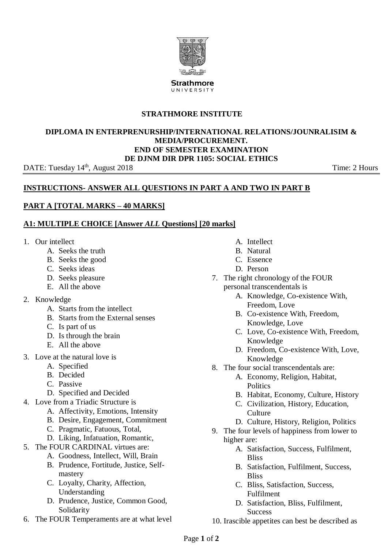

**STRATHMORE INSTITUTE**

#### **DIPLOMA IN ENTERPRENURSHIP/INTERNATIONAL RELATIONS/JOUNRALISIM & MEDIA/PROCUREMENT. END OF SEMESTER EXAMINATION DE DJNM DIR DPR 1105: SOCIAL ETHICS**

DATE: Tuesday 14<sup>th</sup>, August 2018

Time: 2 Hours

## **INSTRUCTIONS- ANSWER ALL QUESTIONS IN PART A AND TWO IN PART B**

## **PART A [TOTAL MARKS – 40 MARKS]**

#### **A1: MULTIPLE CHOICE [Answer** *ALL* **Questions] [20 marks]**

- 1. Our intellect
	- A. Seeks the truth
	- B. Seeks the good
	- C. Seeks ideas
	- D. Seeks pleasure
	- E. All the above
- 2. Knowledge
	- A. Starts from the intellect
	- B. Starts from the External senses
	- C. Is part of us
	- D. Is through the brain
	- E. All the above
- 3. Love at the natural love is
	- A. Specified
	- B. Decided
	- C. Passive
	- D. Specified and Decided
- 4. Love from a Triadic Structure is
	- A. Affectivity, Emotions, Intensity
	- B. Desire, Engagement, Commitment
	- C. Pragmatic, Fatuous, Total,
	- D. Liking, Infatuation, Romantic,
- 5. The FOUR CARDINAL virtues are:
	- A. Goodness, Intellect, Will, Brain
	- B. Prudence, Fortitude, Justice, Selfmastery
	- C. Loyalty, Charity, Affection, Understanding
	- D. Prudence, Justice, Common Good, Solidarity
- 6. The FOUR Temperaments are at what level
- A. Intellect
- B. Natural
- C. Essence
- D. Person
- 7. The right chronology of the FOUR personal transcendentals is
	- A. Knowledge, Co-existence With, Freedom, Love
	- B. Co-existence With, Freedom, Knowledge, Love
	- C. Love, Co-existence With, Freedom, Knowledge
	- D. Freedom, Co-existence With, Love, Knowledge
- 8. The four social transcendentals are:
	- A. Economy, Religion, Habitat, **Politics**
	- B. Habitat, Economy, Culture, History
	- C. Civilization, History, Education, Culture
	- D. Culture, History, Religion, Politics
- 9. The four levels of happiness from lower to higher are:
	- A. Satisfaction, Success, Fulfilment, Bliss
	- B. Satisfaction, Fulfilment, Success, **Bliss**
	- C. Bliss, Satisfaction, Success, Fulfilment
	- D. Satisfaction, Bliss, Fulfilment, **Success**
- 10. Irascible appetites can best be described as